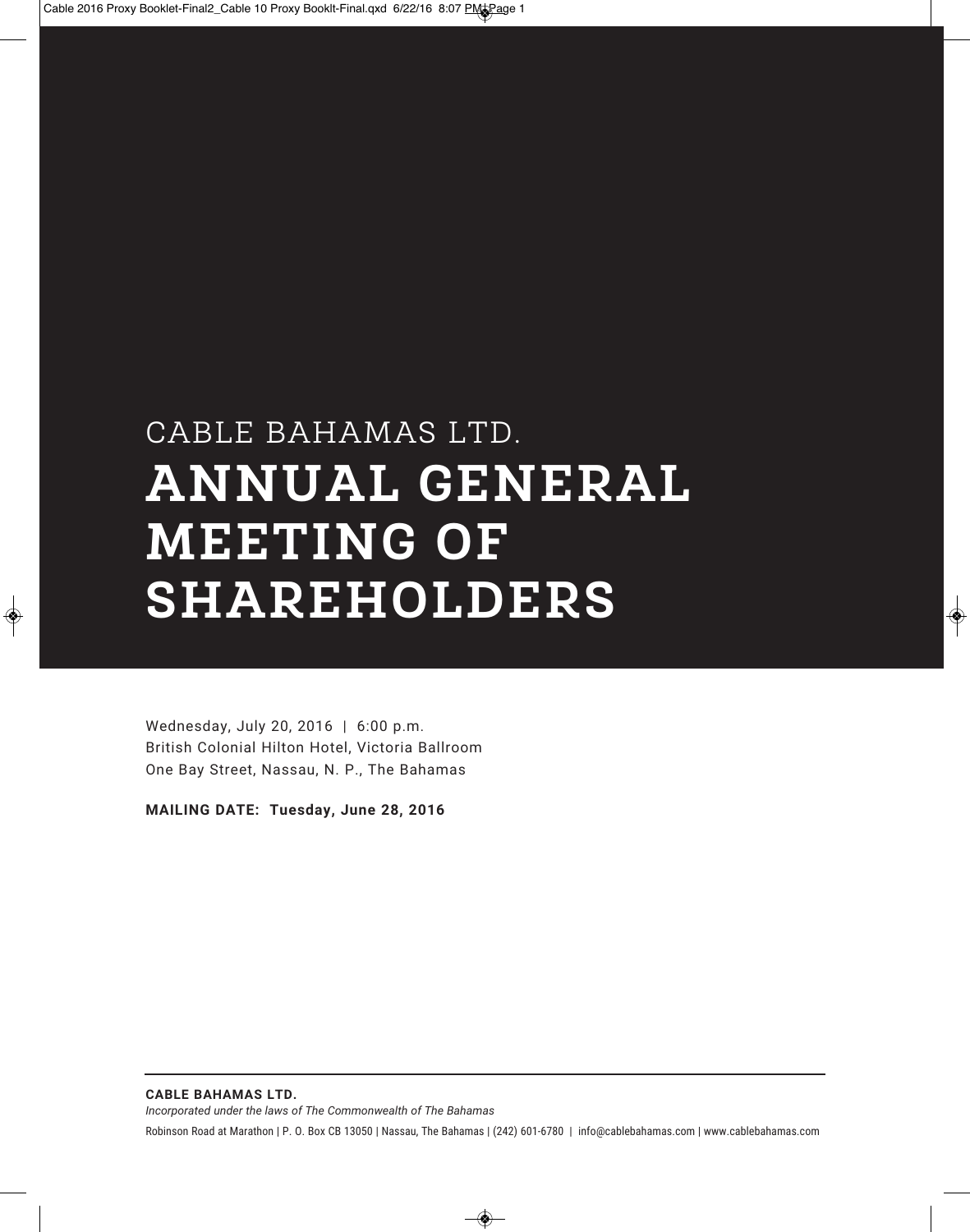# CABLE BAHAMAS LTD. **ANNUAL GENERAL MEETING OF SHAREHOLDERS**

Wednesday, July 20, 2016 | 6:00 p.m. British Colonial Hilton Hotel, Victoria Ballroom One Bay Street, Nassau, N. P., The Bahamas

**MAILING DATE: Tuesday, June 28, 2016**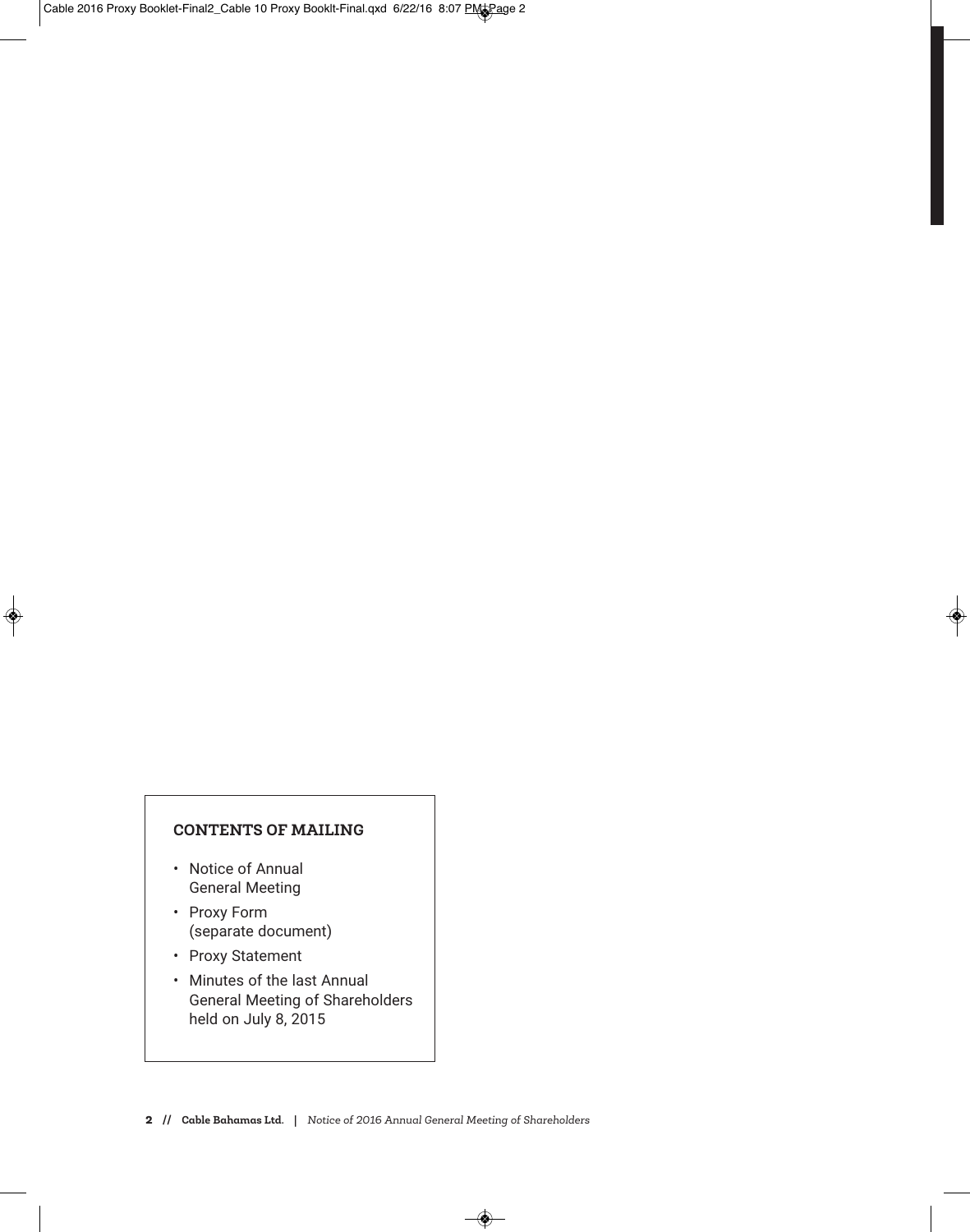#### **CONTENTS OF MAILING**

- Notice of Annual General Meeting
- Proxy Form (separate document)
- Proxy Statement
- Minutes of the last Annual General Meeting of Shareholders held on July 8, 2015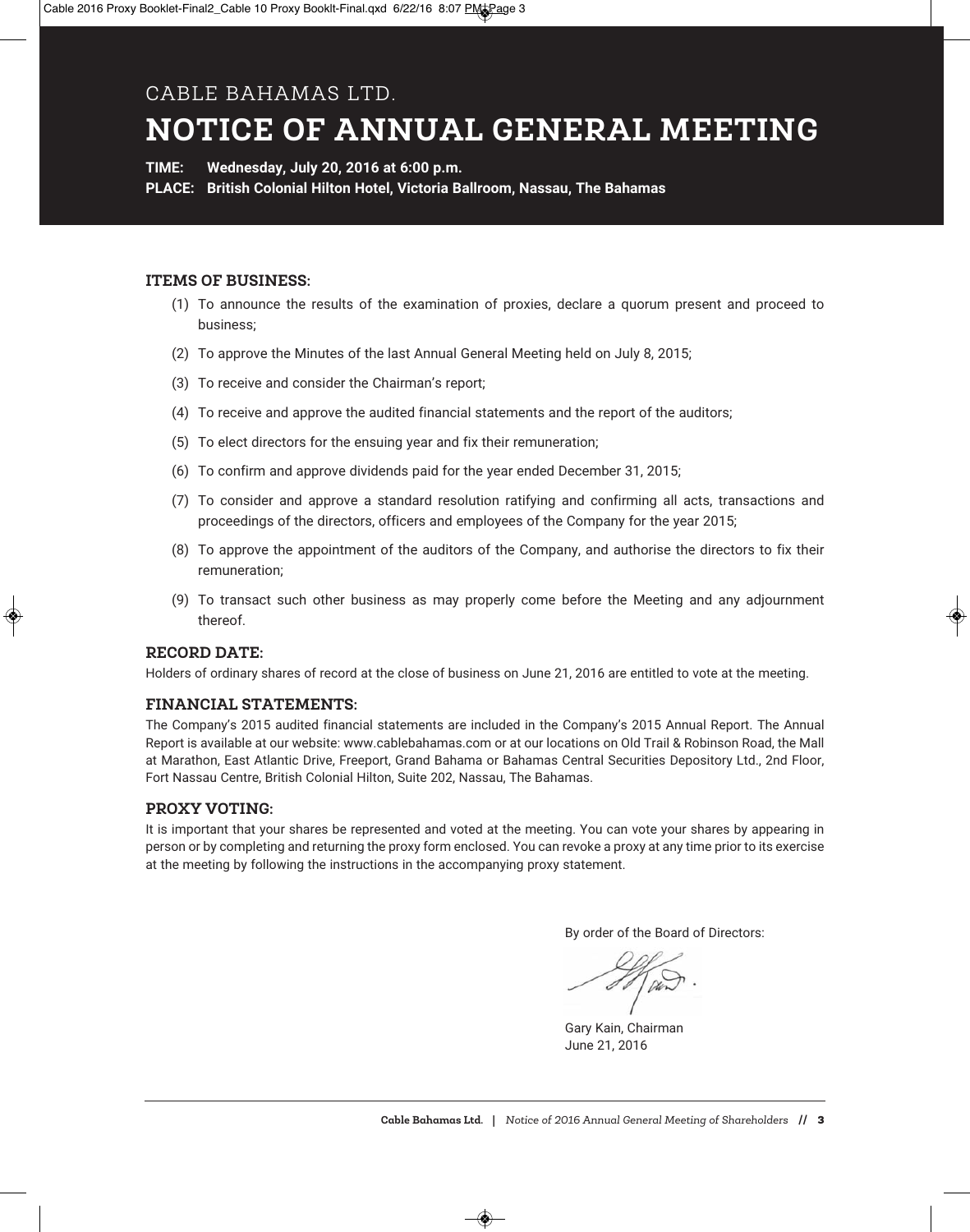#### CABLE BAHAMAS LTD.

# **NOTICE OF ANNUAL GENERAL MEETING**

**TIME: Wednesday, July 20, 2016 at 6:00 p.m.**

**PLACE: British Colonial Hilton Hotel, Victoria Ballroom, Nassau, The Bahamas**

#### **ITEMS OF BUSINESS:**

- (1) To announce the results of the examination of proxies, declare a quorum present and proceed to business;
- (2) To approve the Minutes of the last Annual General Meeting held on July 8, 2015;
- (3) To receive and consider the Chairman's report;
- (4) To receive and approve the audited financial statements and the report of the auditors;
- (5) To elect directors for the ensuing year and fix their remuneration;
- (6) To confirm and approve dividends paid for the year ended December 31, 2015;
- (7) To consider and approve a standard resolution ratifying and confirming all acts, transactions and proceedings of the directors, officers and employees of the Company for the year 2015;
- (8) To approve the appointment of the auditors of the Company, and authorise the directors to fix their remuneration;
- (9) To transact such other business as may properly come before the Meeting and any adjournment thereof.

#### **RECORD DATE:**

Holders of ordinary shares of record at the close of business on June 21, 2016 are entitled to vote at the meeting.

#### **FINANCIAL STATEMENTS:**

The Company's 2015 audited financial statements are included in the Company's 2015 Annual Report. The Annual Report is available at our website: www.cablebahamas.com or at our locations on Old Trail & Robinson Road, the Mall at Marathon, East Atlantic Drive, Freeport, Grand Bahama or Bahamas Central Securities Depository Ltd., 2nd Floor, Fort Nassau Centre, British Colonial Hilton, Suite 202, Nassau, The Bahamas.

#### **PROXY VOTING:**

It is important that your shares be represented and voted at the meeting. You can vote your shares by appearing in person or by completing and returning the proxy form enclosed. You can revoke a proxy at any time prior to its exercise at the meeting by following the instructions in the accompanying proxy statement.

By order of the Board of Directors:

Gary Kain, Chairman June 21, 2016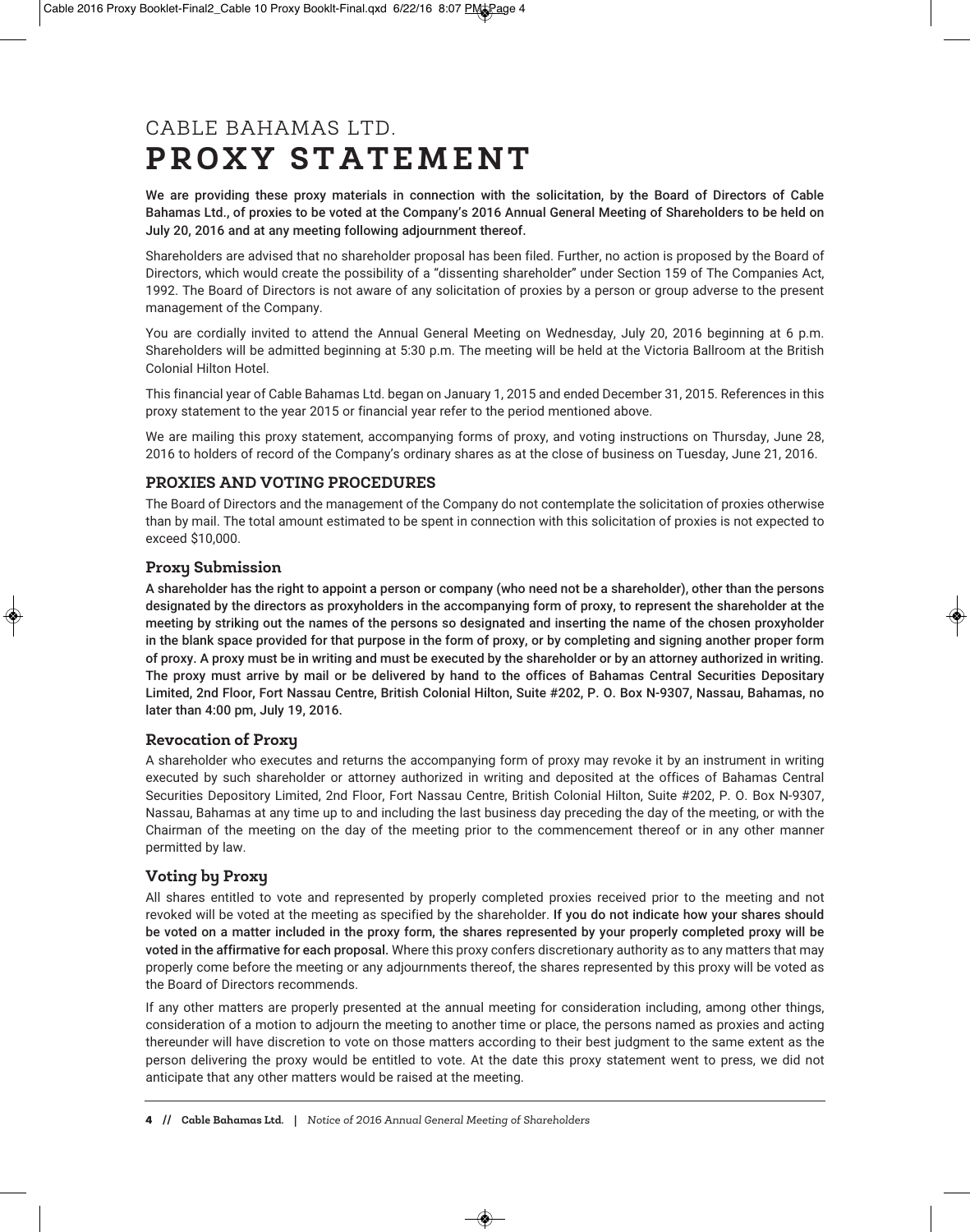## CABLE BAHAMAS LTD. **P R O X Y S T A T E M E N T**

We are providing these proxy materials in connection with the solicitation, by the Board of Directors of Cable Bahamas Ltd., of proxies to be voted at the Company's 2016 Annual General Meeting of Shareholders to be held on July 20, 2016 and at any meeting following adjournment thereof.

Shareholders are advised that no shareholder proposal has been filed. Further, no action is proposed by the Board of Directors, which would create the possibility of a "dissenting shareholder" under Section 159 of The Companies Act, 1992. The Board of Directors is not aware of any solicitation of proxies by a person or group adverse to the present management of the Company.

You are cordially invited to attend the Annual General Meeting on Wednesday, July 20, 2016 beginning at 6 p.m. Shareholders will be admitted beginning at 5:30 p.m. The meeting will be held at the Victoria Ballroom at the British Colonial Hilton Hotel.

This financial year of Cable Bahamas Ltd. began on January 1, 2015 and ended December 31, 2015. References in this proxy statement to the year 2015 or financial year refer to the period mentioned above.

We are mailing this proxy statement, accompanying forms of proxy, and voting instructions on Thursday, June 28, 2016 to holders of record of the Company's ordinary shares as at the close of business on Tuesday, June 21, 2016.

#### **PROXIES AND VOTING PROCEDURES**

The Board of Directors and the management of the Company do not contemplate the solicitation of proxies otherwise than by mail. The total amount estimated to be spent in connection with this solicitation of proxies is not expected to exceed \$10,000.

#### **Proxy Submission**

A shareholder has the right to appoint a person or company (who need not be a shareholder), other than the persons designated by the directors as proxyholders in the accompanying form of proxy, to represent the shareholder at the meeting by striking out the names of the persons so designated and inserting the name of the chosen proxyholder in the blank space provided for that purpose in the form of proxy, or by completing and signing another proper form of proxy. A proxy must be in writing and must be executed by the shareholder or by an attorney authorized in writing. The proxy must arrive by mail or be delivered by hand to the offices of Bahamas Central Securities Depositary Limited, 2nd Floor, Fort Nassau Centre, British Colonial Hilton, Suite #202, P. O. Box N-9307, Nassau, Bahamas, no later than 4:00 pm, July 19, 2016.

#### **Revocation of Proxy**

A shareholder who executes and returns the accompanying form of proxy may revoke it by an instrument in writing executed by such shareholder or attorney authorized in writing and deposited at the offices of Bahamas Central Securities Depository Limited, 2nd Floor, Fort Nassau Centre, British Colonial Hilton, Suite #202, P. O. Box N-9307, Nassau, Bahamas at any time up to and including the last business day preceding the day of the meeting, or with the Chairman of the meeting on the day of the meeting prior to the commencement thereof or in any other manner permitted by law.

#### **Voting by Proxy**

All shares entitled to vote and represented by properly completed proxies received prior to the meeting and not revoked will be voted at the meeting as specified by the shareholder. If you do not indicate how your shares should be voted on a matter included in the proxy form, the shares represented by your properly completed proxy will be voted in the affirmative for each proposal. Where this proxy confers discretionary authority as to any matters that may properly come before the meeting or any adjournments thereof, the shares represented by this proxy will be voted as the Board of Directors recommends.

If any other matters are properly presented at the annual meeting for consideration including, among other things, consideration of a motion to adjourn the meeting to another time or place, the persons named as proxies and acting thereunder will have discretion to vote on those matters according to their best judgment to the same extent as the person delivering the proxy would be entitled to vote. At the date this proxy statement went to press, we did not anticipate that any other matters would be raised at the meeting.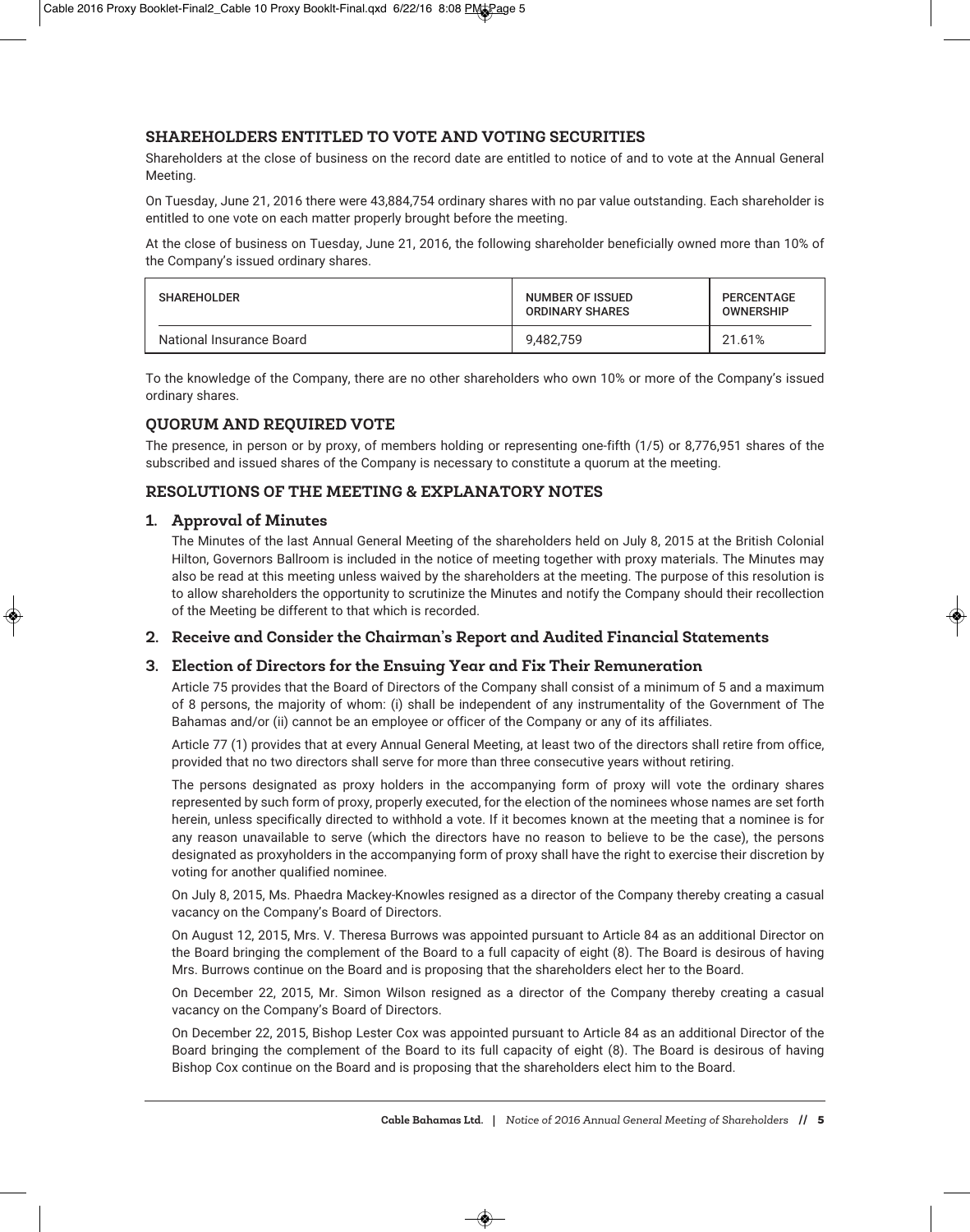#### **SHAREHOLDERS ENTITLED TO VOTE AND VOTING SECURITIES**

Shareholders at the close of business on the record date are entitled to notice of and to vote at the Annual General Meeting.

On Tuesday, June 21, 2016 there were 43,884,754 ordinary shares with no par value outstanding. Each shareholder is entitled to one vote on each matter properly brought before the meeting.

At the close of business on Tuesday, June 21, 2016, the following shareholder beneficially owned more than 10% of the Company's issued ordinary shares.

| <b>SHAREHOLDER</b>       | NUMBER OF ISSUED<br><b>ORDINARY SHARES</b> | PERCENTAGE<br><b>OWNERSHIP</b> |  |
|--------------------------|--------------------------------------------|--------------------------------|--|
| National Insurance Board | 9.482.759                                  | 21.61%                         |  |

To the knowledge of the Company, there are no other shareholders who own 10% or more of the Company's issued ordinary shares.

#### **QUORUM AND REQUIRED VOTE**

The presence, in person or by proxy, of members holding or representing one-fifth (1/5) or 8,776,951 shares of the subscribed and issued shares of the Company is necessary to constitute a quorum at the meeting.

#### **RESOLUTIONS OF THE MEETING & EXPLANATORY NOTES**

#### **1. Approval of Minutes**

The Minutes of the last Annual General Meeting of the shareholders held on July 8, 2015 at the British Colonial Hilton, Governors Ballroom is included in the notice of meeting together with proxy materials. The Minutes may also be read at this meeting unless waived by the shareholders at the meeting. The purpose of this resolution is to allow shareholders the opportunity to scrutinize the Minutes and notify the Company should their recollection of the Meeting be different to that which is recorded.

#### **2. Receive and Consider the Chairman's Report and Audited Financial Statements**

#### **3. Election of Directors for the Ensuing Year and Fix Their Remuneration**

Article 75 provides that the Board of Directors of the Company shall consist of a minimum of 5 and a maximum of 8 persons, the majority of whom: (i) shall be independent of any instrumentality of the Government of The Bahamas and/or (ii) cannot be an employee or officer of the Company or any of its affiliates.

Article 77 (1) provides that at every Annual General Meeting, at least two of the directors shall retire from office, provided that no two directors shall serve for more than three consecutive years without retiring.

The persons designated as proxy holders in the accompanying form of proxy will vote the ordinary shares represented by such form of proxy, properly executed, for the election of the nominees whose names are set forth herein, unless specifically directed to withhold a vote. If it becomes known at the meeting that a nominee is for any reason unavailable to serve (which the directors have no reason to believe to be the case), the persons designated as proxyholders in the accompanying form of proxy shall have the right to exercise their discretion by voting for another qualified nominee.

On July 8, 2015, Ms. Phaedra Mackey-Knowles resigned as a director of the Company thereby creating a casual vacancy on the Company's Board of Directors.

On August 12, 2015, Mrs. V. Theresa Burrows was appointed pursuant to Article 84 as an additional Director on the Board bringing the complement of the Board to a full capacity of eight (8). The Board is desirous of having Mrs. Burrows continue on the Board and is proposing that the shareholders elect her to the Board.

On December 22, 2015, Mr. Simon Wilson resigned as a director of the Company thereby creating a casual vacancy on the Company's Board of Directors.

On December 22, 2015, Bishop Lester Cox was appointed pursuant to Article 84 as an additional Director of the Board bringing the complement of the Board to its full capacity of eight (8). The Board is desirous of having Bishop Cox continue on the Board and is proposing that the shareholders elect him to the Board.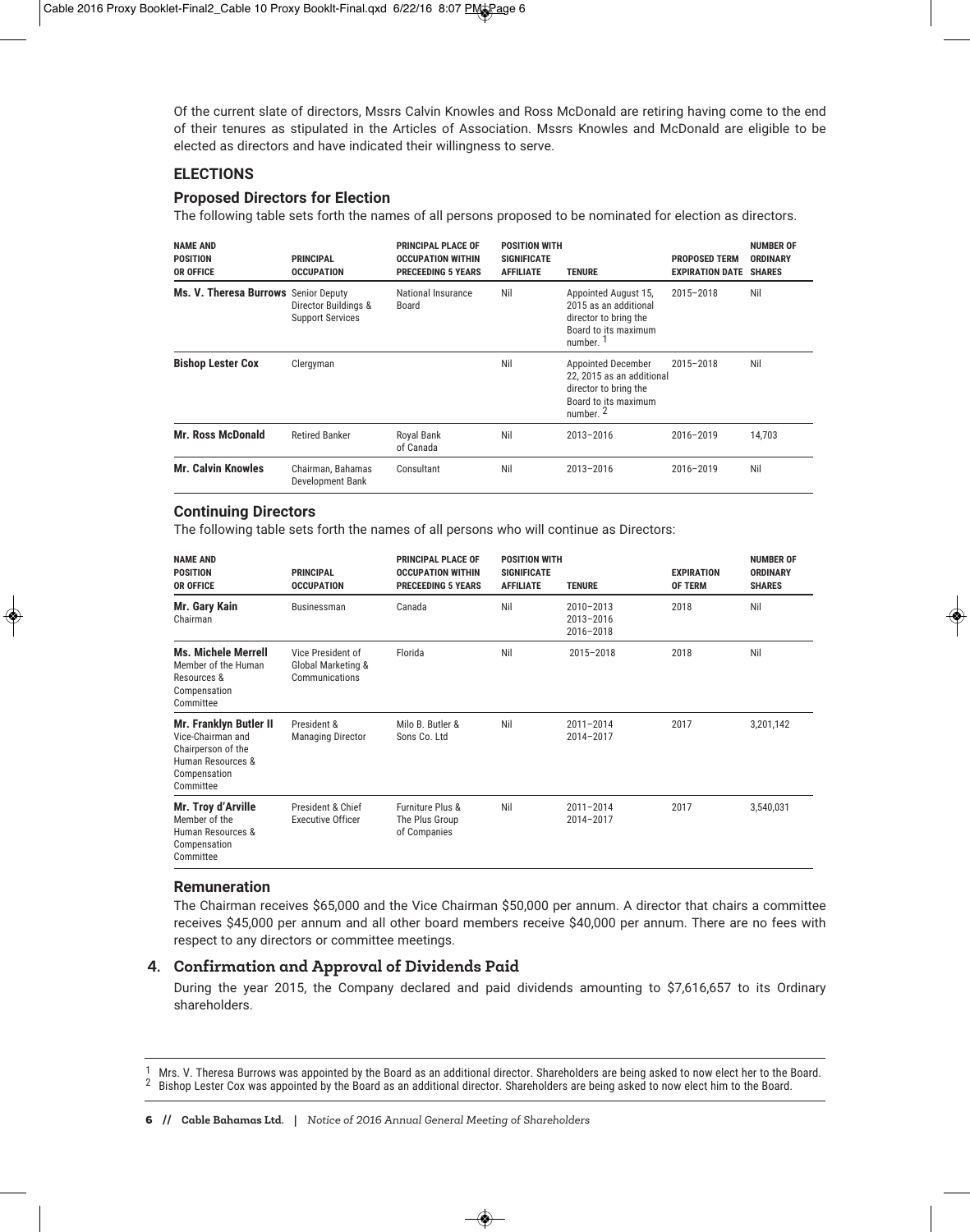Of the current slate of directors, Mssrs Calvin Knowles and Ross McDonald are retiring having come to the end of their tenures as stipulated in the Articles of Association. Mssrs Knowles and McDonald are eligible to be elected as directors and have indicated their willingness to serve.

#### **ELECTIONS**

#### **Proposed Directors for Election**

The following table sets forth the names of all persons proposed to be nominated for election as directors.

| <b>NAME AND</b><br><b>POSITION</b><br><b>OR OFFICE</b> | <b>PRINCIPAL</b><br><b>OCCUPATION</b>           | <b>PRINCIPAL PLACE OF</b><br><b>OCCUPATION WITHIN</b><br><b>PRECEEDING 5 YEARS</b> | <b>POSITION WITH</b><br><b>SIGNIFICATE</b><br><b>AFFILIATE</b> | <b>TENURE</b>                                                                                                            | <b>PROPOSED TERM</b><br><b>EXPIRATION DATE</b> | <b>NUMBER OF</b><br><b>ORDINARY</b><br><b>SHARES</b> |
|--------------------------------------------------------|-------------------------------------------------|------------------------------------------------------------------------------------|----------------------------------------------------------------|--------------------------------------------------------------------------------------------------------------------------|------------------------------------------------|------------------------------------------------------|
| Ms. V. Theresa Burrows Senior Deputy                   | Director Buildings &<br><b>Support Services</b> | National Insurance<br>Board                                                        | Nil                                                            | Appointed August 15,<br>2015 as an additional<br>director to bring the<br>Board to its maximum<br>number. <sup>1</sup>   | $2015 - 2018$                                  | Nil                                                  |
| <b>Bishop Lester Cox</b>                               | Clergyman                                       |                                                                                    | Nil                                                            | Appointed December<br>22, 2015 as an additional<br>director to bring the<br>Board to its maximum<br>number. <sup>2</sup> | $2015 - 2018$                                  | Nil                                                  |
| <b>Mr. Ross McDonald</b>                               | <b>Retired Banker</b>                           | Royal Bank<br>of Canada                                                            | Nil                                                            | $2013 - 2016$                                                                                                            | $2016 - 2019$                                  | 14,703                                               |
| <b>Mr. Calvin Knowles</b>                              | Chairman, Bahamas<br>Development Bank           | Consultant                                                                         | Nil                                                            | $2013 - 2016$                                                                                                            | $2016 - 2019$                                  | Nil                                                  |

#### **Continuing Directors**

The following table sets forth the names of all persons who will continue as Directors:

| <b>NAME AND</b><br><b>POSITION</b><br><b>OR OFFICE</b>                                                                     | <b>PRINCIPAL</b><br><b>OCCUPATION</b>                     | <b>PRINCIPAL PLACE OF</b><br><b>OCCUPATION WITHIN</b><br><b>PRECEEDING 5 YEARS</b> | <b>POSITION WITH</b><br><b>SIGNIFICATE</b><br><b>AFFILIATE</b> | <b>TENURE</b>                           | <b>EXPIRATION</b><br><b>OF TERM</b> | <b>NUMBER OF</b><br><b>ORDINARY</b><br><b>SHARES</b> |
|----------------------------------------------------------------------------------------------------------------------------|-----------------------------------------------------------|------------------------------------------------------------------------------------|----------------------------------------------------------------|-----------------------------------------|-------------------------------------|------------------------------------------------------|
| Mr. Gary Kain<br>Chairman                                                                                                  | Businessman                                               | Canada                                                                             | Nil                                                            | 2010-2013<br>$2013 - 2016$<br>2016-2018 | 2018                                | Nil                                                  |
| <b>Ms. Michele Merrell</b><br>Member of the Human<br>Resources &<br>Compensation<br>Committee                              | Vice President of<br>Global Marketing &<br>Communications | Florida                                                                            | Nil                                                            | 2015-2018                               | 2018                                | Nil                                                  |
| <b>Mr. Franklyn Butler II</b><br>Vice-Chairman and<br>Chairperson of the<br>Human Resources &<br>Compensation<br>Committee | President &<br><b>Managing Director</b>                   | Milo B. Butler &<br>Sons Co. Ltd                                                   | Nil                                                            | $2011 - 2014$<br>2014-2017              | 2017                                | 3,201,142                                            |
| Mr. Troy d'Arville<br>Member of the<br>Human Resources &<br>Compensation<br>Committee                                      | President & Chief<br><b>Executive Officer</b>             | Furniture Plus &<br>The Plus Group<br>of Companies                                 | Nil                                                            | $2011 - 2014$<br>2014-2017              | 2017                                | 3,540,031                                            |

#### **Remuneration**

The Chairman receives \$65,000 and the Vice Chairman \$50,000 per annum. A director that chairs a committee receives \$45,000 per annum and all other board members receive \$40,000 per annum. There are no fees with respect to any directors or committee meetings.

#### **4. Confirmation and Approval of Dividends Paid**

During the year 2015, the Company declared and paid dividends amounting to \$7,616,657 to its Ordinary shareholders.

 $1$  Mrs. V. Theresa Burrows was appointed by the Board as an additional director. Shareholders are being asked to now elect her to the Board.<br>2 Bishop Lester Cox was appointed by the Board as an additional director. Share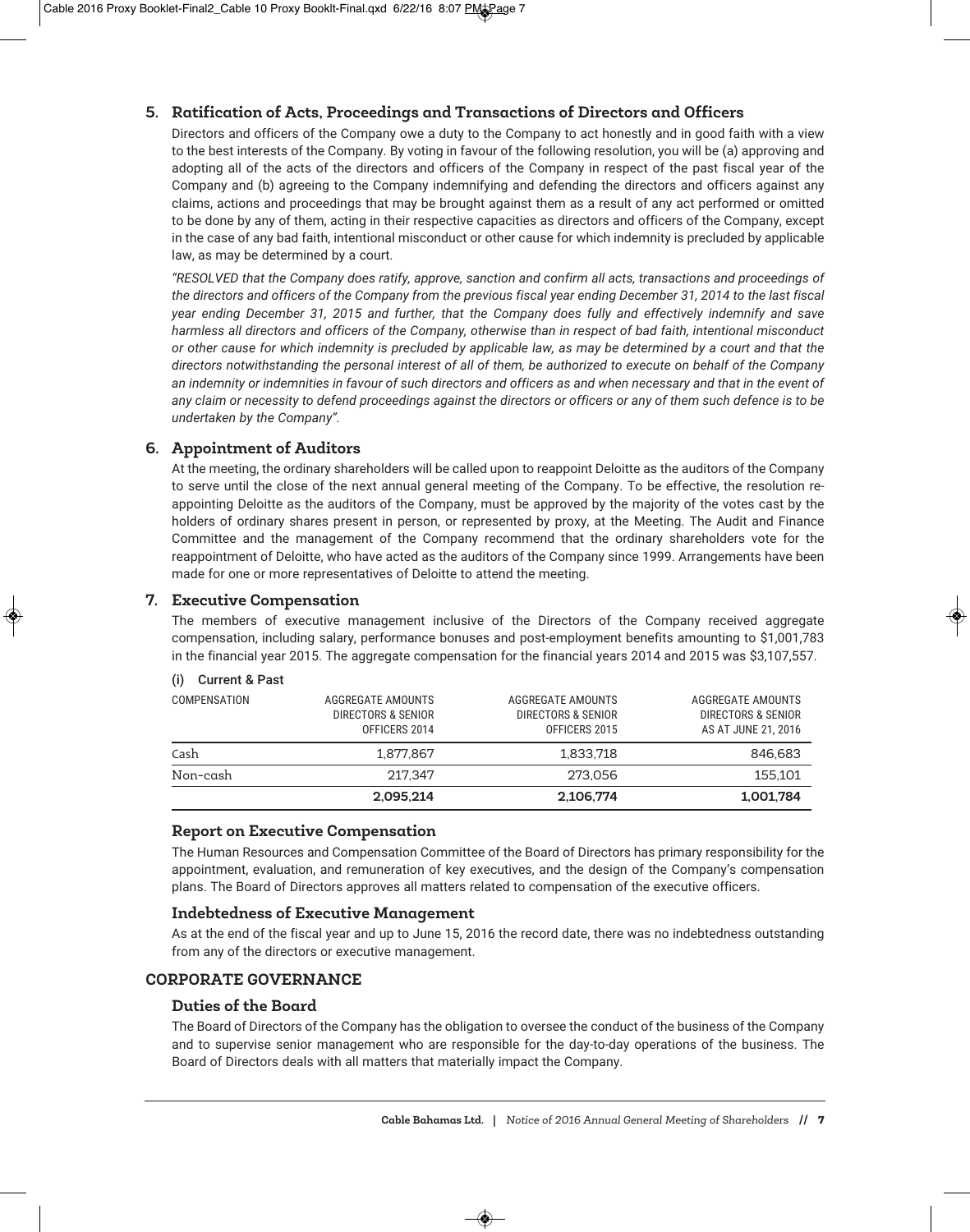#### **5. Ratification of Acts, Proceedings and Transactions of Directors and Officers**

Directors and officers of the Company owe a duty to the Company to act honestly and in good faith with a view to the best interests of the Company. By voting in favour of the following resolution, you will be (a) approving and adopting all of the acts of the directors and officers of the Company in respect of the past fiscal year of the Company and (b) agreeing to the Company indemnifying and defending the directors and officers against any claims, actions and proceedings that may be brought against them as a result of any act performed or omitted to be done by any of them, acting in their respective capacities as directors and officers of the Company, except in the case of any bad faith, intentional misconduct or other cause for which indemnity is precluded by applicable law, as may be determined by a court.

*"RESOLVED that the Company does ratify, approve, sanction and confirm all acts, transactions and proceedings of the directors and officers of the Company from the previous fiscal year ending December 31, 2014 to the last fiscal year ending December 31, 2015 and further, that the Company does fully and effectively indemnify and save harmless all directors and officers of the Company, otherwise than in respect of bad faith, intentional misconduct or other cause for which indemnity is precluded by applicable law, as may be determined by a court and that the directors notwithstanding the personal interest of all of them, be authorized to execute on behalf of the Company an indemnity or indemnities in favour of such directors and officers as and when necessary and that in the event of any claim or necessity to defend proceedings against the directors or officers or any of them such defence is to be undertaken by the Company".*

#### **6. Appointment of Auditors**

At the meeting, the ordinary shareholders will be called upon to reappoint Deloitte as the auditors of the Company to serve until the close of the next annual general meeting of the Company. To be effective, the resolution reappointing Deloitte as the auditors of the Company, must be approved by the majority of the votes cast by the holders of ordinary shares present in person, or represented by proxy, at the Meeting. The Audit and Finance Committee and the management of the Company recommend that the ordinary shareholders vote for the reappointment of Deloitte, who have acted as the auditors of the Company since 1999. Arrangements have been made for one or more representatives of Deloitte to attend the meeting.

#### **7. Executive Compensation**

The members of executive management inclusive of the Directors of the Company received aggregate compensation, including salary, performance bonuses and post-employment benefits amounting to \$1,001,783 in the financial year 2015. The aggregate compensation for the financial years 2014 and 2015 was \$3,107,557.

#### (i) Current & Past

| COMPENSATION | AGGREGATE AMOUNTS<br>DIRECTORS & SENIOR<br>OFFICERS 2014 | AGGREGATE AMOUNTS<br>DIRECTORS & SENIOR<br>OFFICERS 2015 | AGGREGATE AMOUNTS<br>DIRECTORS & SENIOR<br>AS AT JUNE 21, 2016 |
|--------------|----------------------------------------------------------|----------------------------------------------------------|----------------------------------------------------------------|
| Cash         | 1.877.867                                                | 1.833.718                                                | 846,683                                                        |
| Non-cash     | 217.347                                                  | 273,056                                                  | 155.101                                                        |
|              | 2.095.214                                                | 2,106,774                                                | 1,001,784                                                      |

#### **Report on Executive Compensation**

The Human Resources and Compensation Committee of the Board of Directors has primary responsibility for the appointment, evaluation, and remuneration of key executives, and the design of the Company's compensation plans. The Board of Directors approves all matters related to compensation of the executive officers.

#### **Indebtedness of Executive Management**

As at the end of the fiscal year and up to June 15, 2016 the record date, there was no indebtedness outstanding from any of the directors or executive management.

#### **CORPORATE GOVERNANCE**

#### **Duties of the Board**

The Board of Directors of the Company has the obligation to oversee the conduct of the business of the Company and to supervise senior management who are responsible for the day-to-day operations of the business. The Board of Directors deals with all matters that materially impact the Company.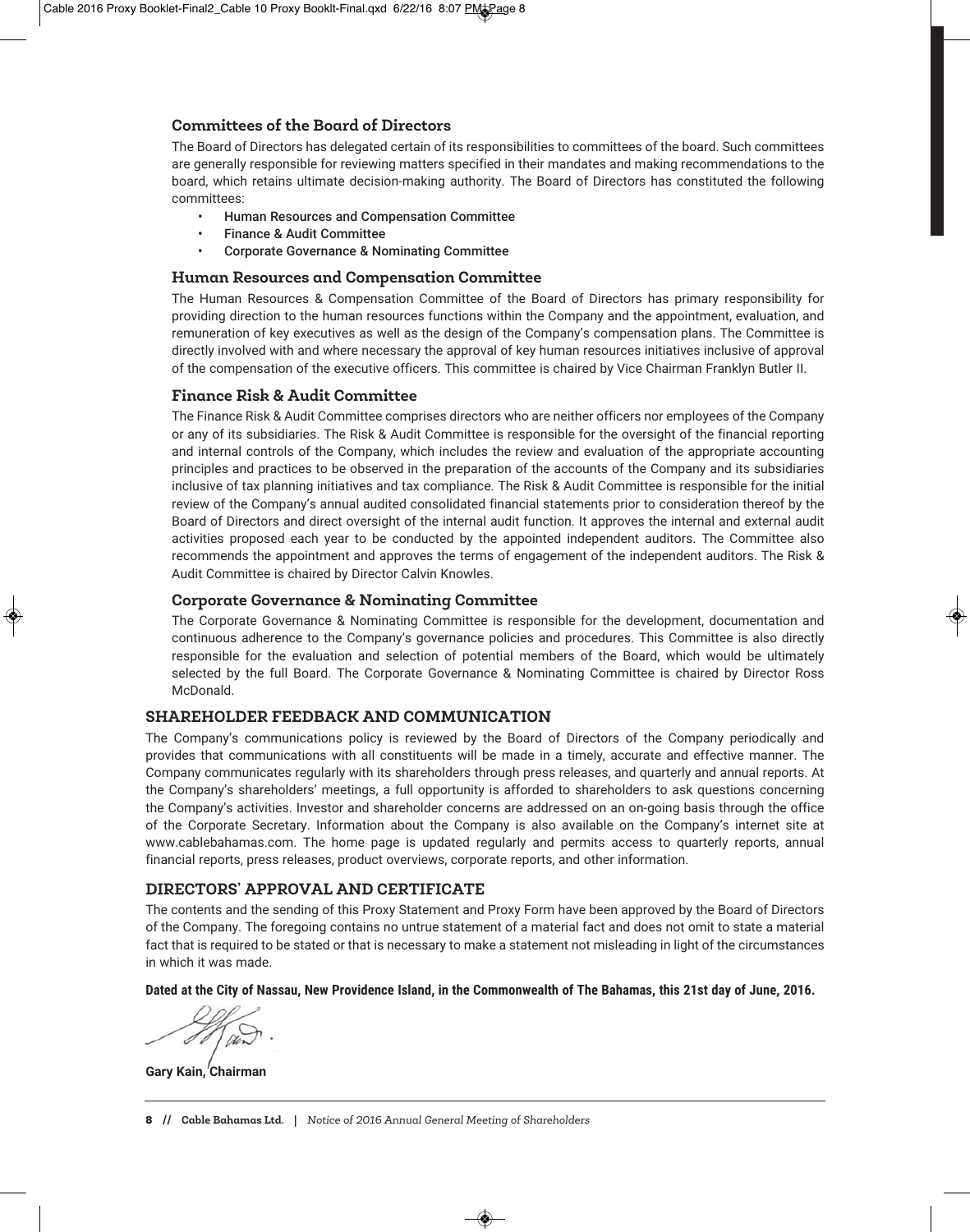#### **Committees of the Board of Directors**

The Board of Directors has delegated certain of its responsibilities to committees of the board. Such committees are generally responsible for reviewing matters specified in their mandates and making recommendations to the board, which retains ultimate decision-making authority. The Board of Directors has constituted the following committees:

- Human Resources and Compensation Committee
- Finance & Audit Committee
- Corporate Governance & Nominating Committee

#### **Human Resources and Compensation Committee**

The Human Resources & Compensation Committee of the Board of Directors has primary responsibility for providing direction to the human resources functions within the Company and the appointment, evaluation, and remuneration of key executives as well as the design of the Company's compensation plans. The Committee is directly involved with and where necessary the approval of key human resources initiatives inclusive of approval of the compensation of the executive officers. This committee is chaired by Vice Chairman Franklyn Butler II.

#### **Finance Risk & Audit Committee**

The Finance Risk & Audit Committee comprises directors who are neither officers nor employees of the Company or any of its subsidiaries. The Risk & Audit Committee is responsible for the oversight of the financial reporting and internal controls of the Company, which includes the review and evaluation of the appropriate accounting principles and practices to be observed in the preparation of the accounts of the Company and its subsidiaries inclusive of tax planning initiatives and tax compliance. The Risk & Audit Committee is responsible for the initial review of the Company's annual audited consolidated financial statements prior to consideration thereof by the Board of Directors and direct oversight of the internal audit function. It approves the internal and external audit activities proposed each year to be conducted by the appointed independent auditors. The Committee also recommends the appointment and approves the terms of engagement of the independent auditors. The Risk & Audit Committee is chaired by Director Calvin Knowles.

#### **Corporate Governance & Nominating Committee**

The Corporate Governance & Nominating Committee is responsible for the development, documentation and continuous adherence to the Company's governance policies and procedures. This Committee is also directly responsible for the evaluation and selection of potential members of the Board, which would be ultimately selected by the full Board. The Corporate Governance & Nominating Committee is chaired by Director Ross McDonald.

#### **SHAREHOLDER FEEDBACK AND COMMUNICATION**

The Company's communications policy is reviewed by the Board of Directors of the Company periodically and provides that communications with all constituents will be made in a timely, accurate and effective manner. The Company communicates regularly with its shareholders through press releases, and quarterly and annual reports. At the Company's shareholders' meetings, a full opportunity is afforded to shareholders to ask questions concerning the Company's activities. Investor and shareholder concerns are addressed on an on-going basis through the office of the Corporate Secretary. Information about the Company is also available on the Company's internet site at www.cablebahamas.com. The home page is updated regularly and permits access to quarterly reports, annual financial reports, press releases, product overviews, corporate reports, and other information.

#### **DIRECTORS' APPROVAL AND CERTIFICATE**

The contents and the sending of this Proxy Statement and Proxy Form have been approved by the Board of Directors of the Company. The foregoing contains no untrue statement of a material fact and does not omit to state a material fact that is required to be stated or that is necessary to make a statement not misleading in light of the circumstances in which it was made.

**Dated at the City of Nassau, New Providence Island, in the Commonwealth of The Bahamas, this 21st day of June, 2016.** 

**Gary Kain, Chairman**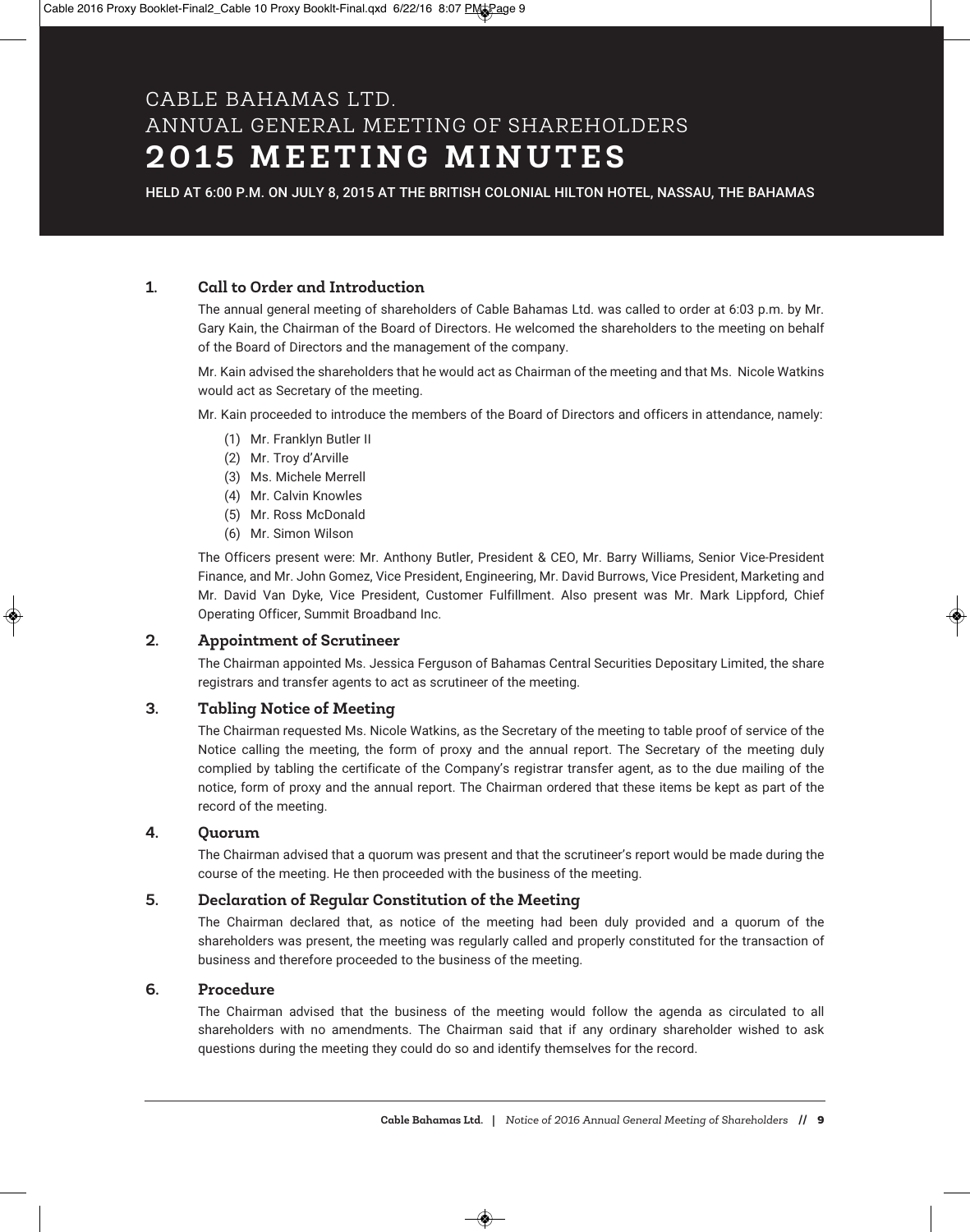### CABLE BAHAMAS LTD. ANNUAL GENERAL MEETING OF SHAREHOLDERS **2 0 1 5 M E E T I N G M I N U T E S**

HELD AT 6:00 P.M. ON JULY 8, 2015 AT THE BRITISH COLONIAL HILTON HOTEL, NASSAU, THE BAHAMAS

#### **1. Call to Order and Introduction**

The annual general meeting of shareholders of Cable Bahamas Ltd. was called to order at 6:03 p.m. by Mr. Gary Kain, the Chairman of the Board of Directors. He welcomed the shareholders to the meeting on behalf of the Board of Directors and the management of the company.

Mr. Kain advised the shareholders that he would act as Chairman of the meeting and that Ms. Nicole Watkins would act as Secretary of the meeting.

Mr. Kain proceeded to introduce the members of the Board of Directors and officers in attendance, namely:

- (1) Mr. Franklyn Butler II
- (2) Mr. Troy d'Arville
- (3) Ms. Michele Merrell
- (4) Mr. Calvin Knowles
- (5) Mr. Ross McDonald
- (6) Mr. Simon Wilson

The Officers present were: Mr. Anthony Butler, President & CEO, Mr. Barry Williams, Senior Vice-President Finance, and Mr. John Gomez, Vice President, Engineering, Mr. David Burrows, Vice President, Marketing and Mr. David Van Dyke, Vice President, Customer Fulfillment. Also present was Mr. Mark Lippford, Chief Operating Officer, Summit Broadband Inc.

#### **2. Appointment of Scrutineer**

The Chairman appointed Ms. Jessica Ferguson of Bahamas Central Securities Depositary Limited, the share registrars and transfer agents to act as scrutineer of the meeting.

#### **3. Tabling Notice of Meeting**

The Chairman requested Ms. Nicole Watkins, as the Secretary of the meeting to table proof of service of the Notice calling the meeting, the form of proxy and the annual report. The Secretary of the meeting duly complied by tabling the certificate of the Company's registrar transfer agent, as to the due mailing of the notice, form of proxy and the annual report. The Chairman ordered that these items be kept as part of the record of the meeting.

#### **4. Quorum**

The Chairman advised that a quorum was present and that the scrutineer's report would be made during the course of the meeting. He then proceeded with the business of the meeting.

#### **5. Declaration of Regular Constitution of the Meeting**

The Chairman declared that, as notice of the meeting had been duly provided and a quorum of the shareholders was present, the meeting was regularly called and properly constituted for the transaction of business and therefore proceeded to the business of the meeting.

#### **6. Procedure**

The Chairman advised that the business of the meeting would follow the agenda as circulated to all shareholders with no amendments. The Chairman said that if any ordinary shareholder wished to ask questions during the meeting they could do so and identify themselves for the record.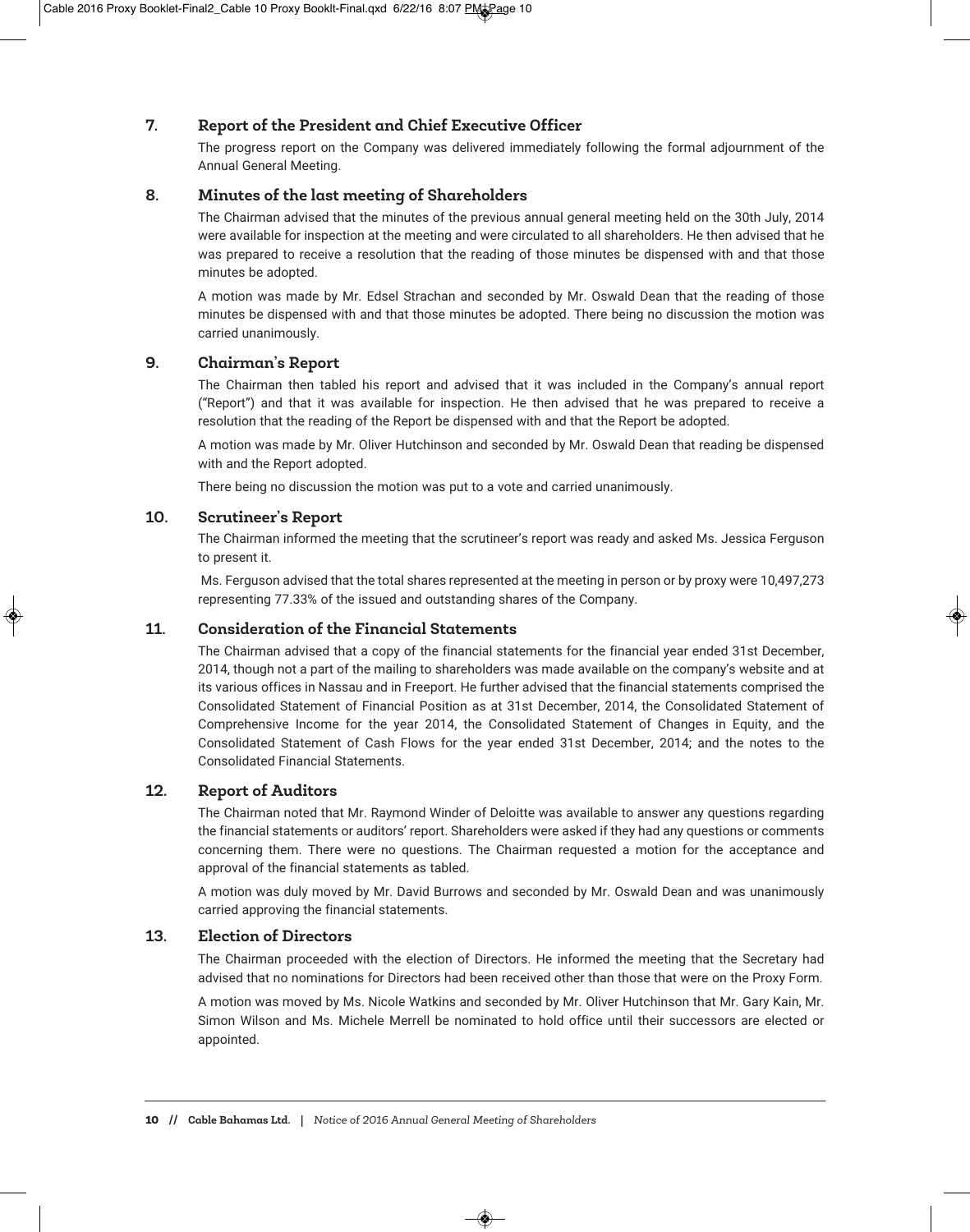#### **7. Report of the President and Chief Executive Officer**

The progress report on the Company was delivered immediately following the formal adjournment of the Annual General Meeting.

#### **8. Minutes of the last meeting of Shareholders**

The Chairman advised that the minutes of the previous annual general meeting held on the 30th July, 2014 were available for inspection at the meeting and were circulated to all shareholders. He then advised that he was prepared to receive a resolution that the reading of those minutes be dispensed with and that those minutes be adopted.

A motion was made by Mr. Edsel Strachan and seconded by Mr. Oswald Dean that the reading of those minutes be dispensed with and that those minutes be adopted. There being no discussion the motion was carried unanimously.

#### **9. Chairman's Report**

The Chairman then tabled his report and advised that it was included in the Company's annual report ("Report") and that it was available for inspection. He then advised that he was prepared to receive a resolution that the reading of the Report be dispensed with and that the Report be adopted.

A motion was made by Mr. Oliver Hutchinson and seconded by Mr. Oswald Dean that reading be dispensed with and the Report adopted.

There being no discussion the motion was put to a vote and carried unanimously.

#### **10. Scrutineer's Report**

The Chairman informed the meeting that the scrutineer's report was ready and asked Ms. Jessica Ferguson to present it.

Ms. Ferguson advised that the total shares represented at the meeting in person or by proxy were 10,497,273 representing 77.33% of the issued and outstanding shares of the Company.

#### **11. Consideration of the Financial Statements**

The Chairman advised that a copy of the financial statements for the financial year ended 31st December, 2014, though not a part of the mailing to shareholders was made available on the company's website and at its various offices in Nassau and in Freeport. He further advised that the financial statements comprised the Consolidated Statement of Financial Position as at 31st December, 2014, the Consolidated Statement of Comprehensive Income for the year 2014, the Consolidated Statement of Changes in Equity, and the Consolidated Statement of Cash Flows for the year ended 31st December, 2014; and the notes to the Consolidated Financial Statements.

#### **12. Report of Auditors**

The Chairman noted that Mr. Raymond Winder of Deloitte was available to answer any questions regarding the financial statements or auditors' report. Shareholders were asked if they had any questions or comments concerning them. There were no questions. The Chairman requested a motion for the acceptance and approval of the financial statements as tabled.

A motion was duly moved by Mr. David Burrows and seconded by Mr. Oswald Dean and was unanimously carried approving the financial statements.

#### **13. Election of Directors**

The Chairman proceeded with the election of Directors. He informed the meeting that the Secretary had advised that no nominations for Directors had been received other than those that were on the Proxy Form.

A motion was moved by Ms. Nicole Watkins and seconded by Mr. Oliver Hutchinson that Mr. Gary Kain, Mr. Simon Wilson and Ms. Michele Merrell be nominated to hold office until their successors are elected or appointed.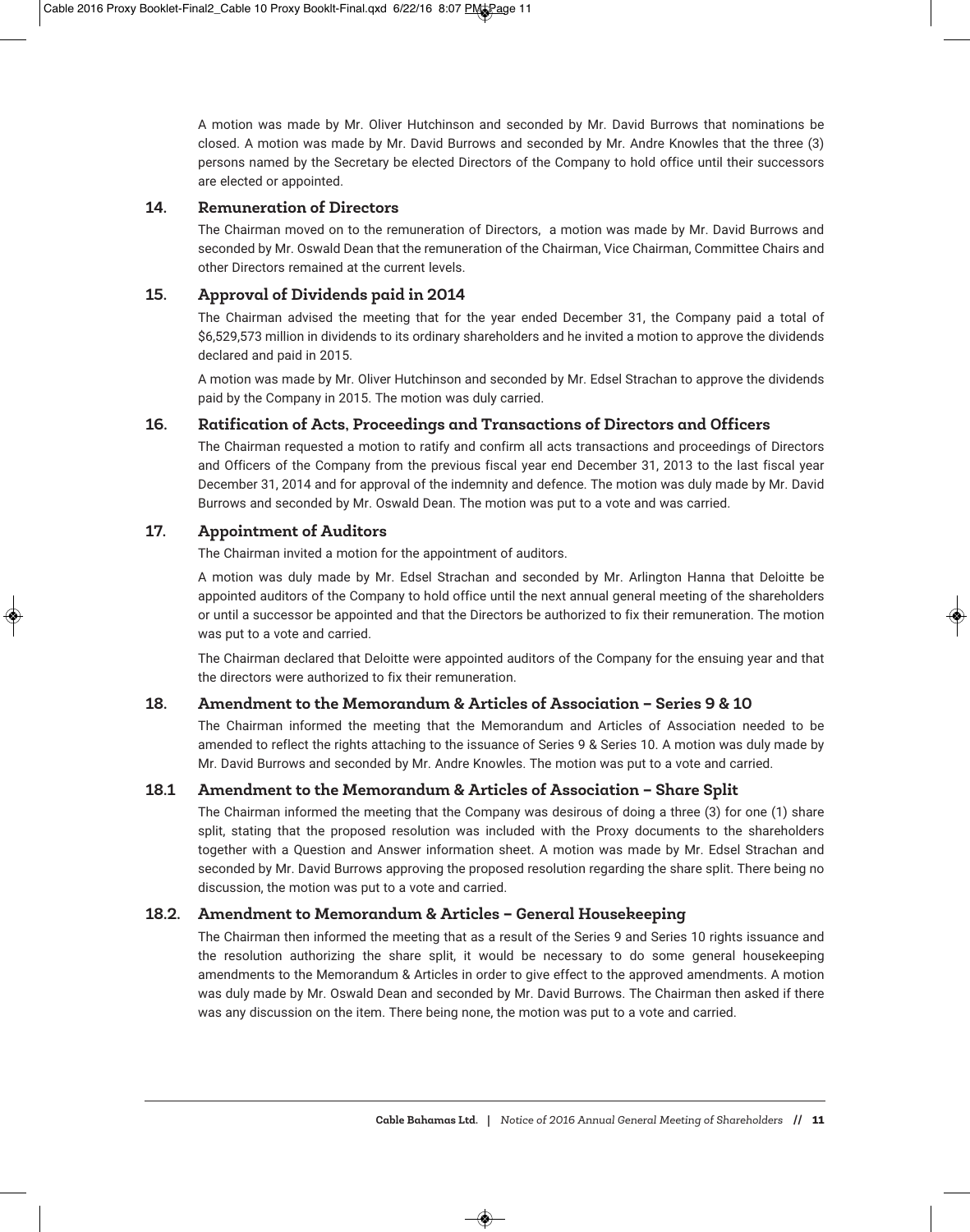A motion was made by Mr. Oliver Hutchinson and seconded by Mr. David Burrows that nominations be closed. A motion was made by Mr. David Burrows and seconded by Mr. Andre Knowles that the three (3) persons named by the Secretary be elected Directors of the Company to hold office until their successors are elected or appointed.

#### **14. Remuneration of Directors**

The Chairman moved on to the remuneration of Directors, a motion was made by Mr. David Burrows and seconded by Mr. Oswald Dean that the remuneration of the Chairman, Vice Chairman, Committee Chairs and other Directors remained at the current levels.

#### **15. Approval of Dividends paid in 2014**

The Chairman advised the meeting that for the year ended December 31, the Company paid a total of \$6,529,573 million in dividends to its ordinary shareholders and he invited a motion to approve the dividends declared and paid in 2015.

A motion was made by Mr. Oliver Hutchinson and seconded by Mr. Edsel Strachan to approve the dividends paid by the Company in 2015. The motion was duly carried.

#### **16. Ratification of Acts, Proceedings and Transactions of Directors and Officers**

The Chairman requested a motion to ratify and confirm all acts transactions and proceedings of Directors and Officers of the Company from the previous fiscal year end December 31, 2013 to the last fiscal year December 31, 2014 and for approval of the indemnity and defence. The motion was duly made by Mr. David Burrows and seconded by Mr. Oswald Dean. The motion was put to a vote and was carried.

#### **17. Appointment of Auditors**

The Chairman invited a motion for the appointment of auditors.

A motion was duly made by Mr. Edsel Strachan and seconded by Mr. Arlington Hanna that Deloitte be appointed auditors of the Company to hold office until the next annual general meeting of the shareholders or until a successor be appointed and that the Directors be authorized to fix their remuneration. The motion was put to a vote and carried.

The Chairman declared that Deloitte were appointed auditors of the Company for the ensuing year and that the directors were authorized to fix their remuneration.

#### **18. Amendment to the Memorandum & Articles of Association – Series 9 & 10**

The Chairman informed the meeting that the Memorandum and Articles of Association needed to be amended to reflect the rights attaching to the issuance of Series 9 & Series 10. A motion was duly made by Mr. David Burrows and seconded by Mr. Andre Knowles. The motion was put to a vote and carried.

#### **18.1 Amendment to the Memorandum & Articles of Association – Share Split**

The Chairman informed the meeting that the Company was desirous of doing a three (3) for one (1) share split, stating that the proposed resolution was included with the Proxy documents to the shareholders together with a Question and Answer information sheet. A motion was made by Mr. Edsel Strachan and seconded by Mr. David Burrows approving the proposed resolution regarding the share split. There being no discussion, the motion was put to a vote and carried.

#### **18.2. Amendment to Memorandum & Articles – General Housekeeping**

The Chairman then informed the meeting that as a result of the Series 9 and Series 10 rights issuance and the resolution authorizing the share split, it would be necessary to do some general housekeeping amendments to the Memorandum & Articles in order to give effect to the approved amendments. A motion was duly made by Mr. Oswald Dean and seconded by Mr. David Burrows. The Chairman then asked if there was any discussion on the item. There being none, the motion was put to a vote and carried.